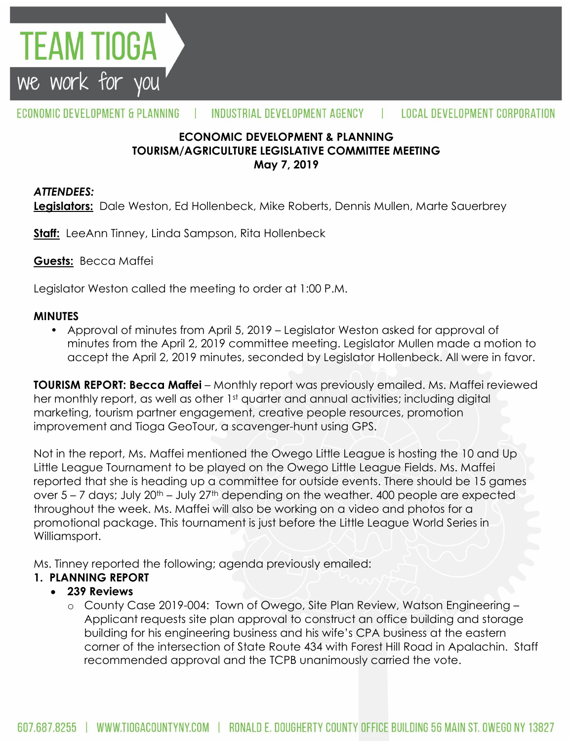

#### ECONOMIC DEVELOPMENT & PLANNING INDUSTRIAL DEVELOPMENT AGENCY **LOCAL DEVELOPMENT CORPORATION**

## **ECONOMIC DEVELOPMENT & PLANNING TOURISM/AGRICULTURE LEGISLATIVE COMMITTEE MEETING May 7, 2019**

#### *ATTENDEES:*

**Legislators:** Dale Weston, Ed Hollenbeck, Mike Roberts, Dennis Mullen, Marte Sauerbrey

**Staff:** LeeAnn Tinney, Linda Sampson, Rita Hollenbeck

**Guests:** Becca Maffei

Legislator Weston called the meeting to order at 1:00 P.M.

#### **MINUTES**

• Approval of minutes from April 5, 2019 – Legislator Weston asked for approval of minutes from the April 2, 2019 committee meeting. Legislator Mullen made a motion to accept the April 2, 2019 minutes, seconded by Legislator Hollenbeck. All were in favor.

**TOURISM REPORT: Becca Maffei** – Monthly report was previously emailed. Ms. Maffei reviewed her monthly report, as well as other 1<sup>st</sup> quarter and annual activities; including digital marketing, tourism partner engagement, creative people resources, promotion improvement and Tioga GeoTour, a scavenger-hunt using GPS.

Not in the report, Ms. Maffei mentioned the Owego Little League is hosting the 10 and Up Little League Tournament to be played on the Owego Little League Fields. Ms. Maffei reported that she is heading up a committee for outside events. There should be 15 games over  $5 - 7$  days; July  $20<sup>th</sup> - July 27<sup>th</sup>$  depending on the weather. 400 people are expected throughout the week. Ms. Maffei will also be working on a video and photos for a promotional package. This tournament is just before the Little League World Series in Williamsport.

Ms. Tinney reported the following; agenda previously emailed:

## **1. PLANNING REPORT**

## **239 Reviews**

o County Case 2019-004: Town of Owego, Site Plan Review, Watson Engineering – Applicant requests site plan approval to construct an office building and storage building for his engineering business and his wife's CPA business at the eastern corner of the intersection of State Route 434 with Forest Hill Road in Apalachin. Staff recommended approval and the TCPB unanimously carried the vote.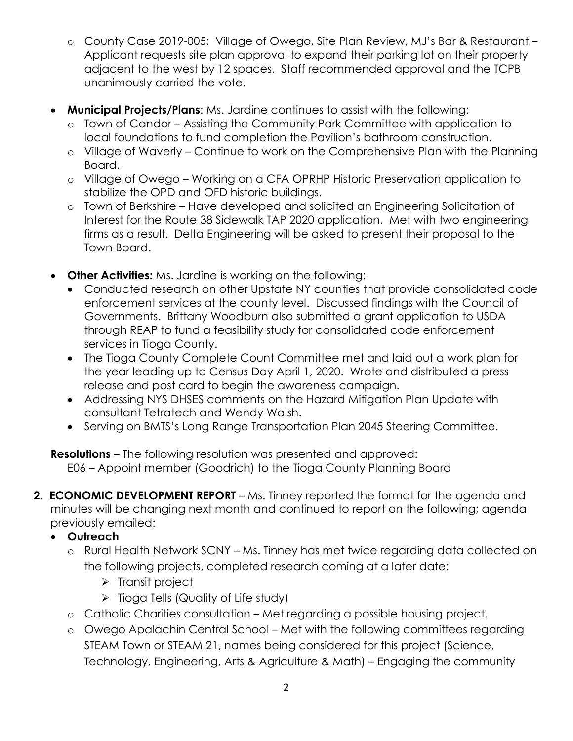- o County Case 2019-005: Village of Owego, Site Plan Review, MJ's Bar & Restaurant Applicant requests site plan approval to expand their parking lot on their property adjacent to the west by 12 spaces. Staff recommended approval and the TCPB unanimously carried the vote.
- **Municipal Projects/Plans**: Ms. Jardine continues to assist with the following:
	- o Town of Candor Assisting the Community Park Committee with application to local foundations to fund completion the Pavilion's bathroom construction.
	- o Village of Waverly Continue to work on the Comprehensive Plan with the Planning Board.
	- o Village of Owego Working on a CFA OPRHP Historic Preservation application to stabilize the OPD and OFD historic buildings.
	- o Town of Berkshire Have developed and solicited an Engineering Solicitation of Interest for the Route 38 Sidewalk TAP 2020 application. Met with two engineering firms as a result. Delta Engineering will be asked to present their proposal to the Town Board.
- **Other Activities:** Ms. Jardine is working on the following:
	- Conducted research on other Upstate NY counties that provide consolidated code enforcement services at the county level. Discussed findings with the Council of Governments. Brittany Woodburn also submitted a grant application to USDA through REAP to fund a feasibility study for consolidated code enforcement services in Tioga County.
	- The Tioga County Complete Count Committee met and laid out a work plan for the year leading up to Census Day April 1, 2020. Wrote and distributed a press release and post card to begin the awareness campaign.
	- Addressing NYS DHSES comments on the Hazard Mitigation Plan Update with consultant Tetratech and Wendy Walsh.
	- Serving on BMTS's Long Range Transportation Plan 2045 Steering Committee.

**Resolutions** – The following resolution was presented and approved: E06 – Appoint member (Goodrich) to the Tioga County Planning Board

**2. ECONOMIC DEVELOPMENT REPORT** – Ms. Tinney reported the format for the agenda and minutes will be changing next month and continued to report on the following; agenda previously emailed:

# **Outreach**

- o Rural Health Network SCNY Ms. Tinney has met twice regarding data collected on the following projects, completed research coming at a later date:
	- $\triangleright$  Transit project
	- $\triangleright$  Tioga Tells (Quality of Life study)
- o Catholic Charities consultation Met regarding a possible housing project.
- o Owego Apalachin Central School Met with the following committees regarding STEAM Town or STEAM 21, names being considered for this project (Science, Technology, Engineering, Arts & Agriculture & Math) – Engaging the community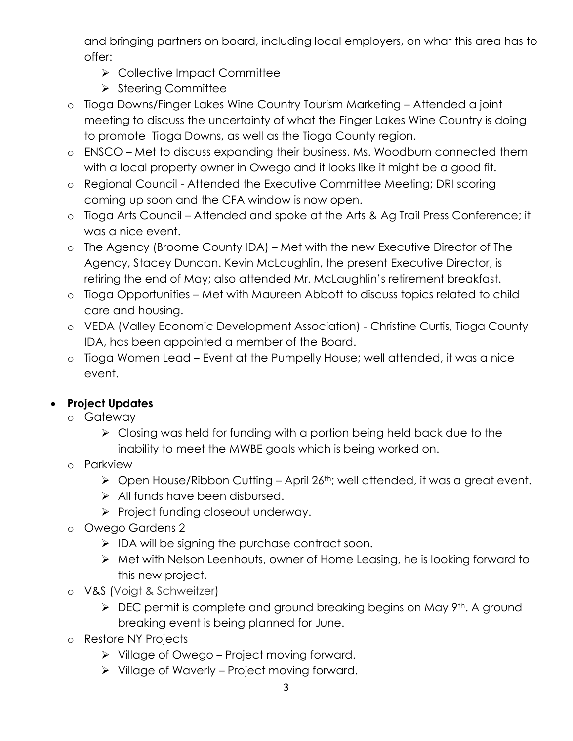and bringing partners on board, including local employers, on what this area has to offer:

- ▶ Collective Impact Committee
- $\triangleright$  Steering Committee
- o Tioga Downs/Finger Lakes Wine Country Tourism Marketing Attended a joint meeting to discuss the uncertainty of what the Finger Lakes Wine Country is doing to promote Tioga Downs, as well as the Tioga County region.
- o ENSCO Met to discuss expanding their business. Ms. Woodburn connected them with a local property owner in Owego and it looks like it might be a good fit.
- o Regional Council Attended the Executive Committee Meeting; DRI scoring coming up soon and the CFA window is now open.
- o Tioga Arts Council Attended and spoke at the Arts & Ag Trail Press Conference; it was a nice event.
- o The Agency (Broome County IDA) Met with the new Executive Director of The Agency, Stacey Duncan. Kevin McLaughlin, the present Executive Director, is retiring the end of May; also attended Mr. McLaughlin's retirement breakfast.
- o Tioga Opportunities Met with Maureen Abbott to discuss topics related to child care and housing.
- o VEDA (Valley Economic Development Association) Christine Curtis, Tioga County IDA, has been appointed a member of the Board.
- o Tioga Women Lead Event at the Pumpelly House; well attended, it was a nice event.

# **Project Updates**

- o Gateway
	- $\triangleright$  Closing was held for funding with a portion being held back due to the inability to meet the MWBE goals which is being worked on.
- o Parkview
	- $\triangleright$  Open House/Ribbon Cutting April 26<sup>th</sup>; well attended, it was a great event.
	- > All funds have been disbursed.
	- $\triangleright$  Project funding closeout underway.
- o Owego Gardens 2
	- $\triangleright$  IDA will be signing the purchase contract soon.
	- Met with Nelson Leenhouts, owner of Home Leasing, he is looking forward to this new project.
- o V&S (Voigt & Schweitzer)
	- $\triangleright$  DEC permit is complete and ground breaking begins on May 9<sup>th</sup>. A ground breaking event is being planned for June.
- o Restore NY Projects
	- Village of Owego Project moving forward.
	- $\triangleright$  Village of Waverly Project moving forward.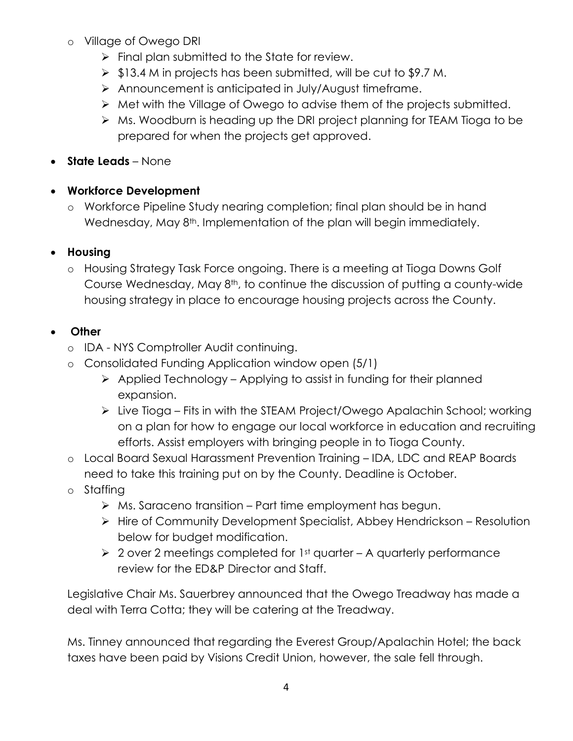- o Village of Owego DRI
	- $\triangleright$  Final plan submitted to the State for review.
	- $\triangleright$  \$13.4 M in projects has been submitted, will be cut to \$9.7 M.
	- Announcement is anticipated in July/August timeframe.
	- $\triangleright$  Met with the Village of Owego to advise them of the projects submitted.
	- ▶ Ms. Woodburn is heading up the DRI project planning for TEAM Tioga to be prepared for when the projects get approved.
- **State Leads** None
- **Workforce Development**
	- o Workforce Pipeline Study nearing completion; final plan should be in hand Wednesday, May 8<sup>th</sup>. Implementation of the plan will begin immediately.

# **Housing**

o Housing Strategy Task Force ongoing. There is a meeting at Tioga Downs Golf Course Wednesday, May 8th, to continue the discussion of putting a county-wide housing strategy in place to encourage housing projects across the County.

# **Other**

- o IDA NYS Comptroller Audit continuing.
- o Consolidated Funding Application window open (5/1)
	- $\triangleright$  Applied Technology Applying to assist in funding for their planned expansion.
	- Live Tioga Fits in with the STEAM Project/Owego Apalachin School; working on a plan for how to engage our local workforce in education and recruiting efforts. Assist employers with bringing people in to Tioga County.
- o Local Board Sexual Harassment Prevention Training IDA, LDC and REAP Boards need to take this training put on by the County. Deadline is October.
- o Staffing
	- $\triangleright$  Ms. Saraceno transition Part time employment has begun.
	- $\triangleright$  Hire of Community Development Specialist, Abbey Hendrickson Resolution below for budget modification.
	- $\geq 2$  over 2 meetings completed for 1st quarter A quarterly performance review for the ED&P Director and Staff.

Legislative Chair Ms. Sauerbrey announced that the Owego Treadway has made a deal with Terra Cotta; they will be catering at the Treadway.

Ms. Tinney announced that regarding the Everest Group/Apalachin Hotel; the back taxes have been paid by Visions Credit Union, however, the sale fell through.